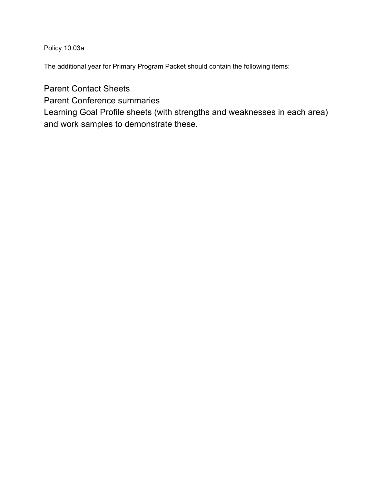## Policy 10.03a

The additional year for Primary Program Packet should contain the following items:

Parent Contact Sheets

Parent Conference summaries

Learning Goal Profile sheets (with strengths and weaknesses in each area) and work samples to demonstrate these.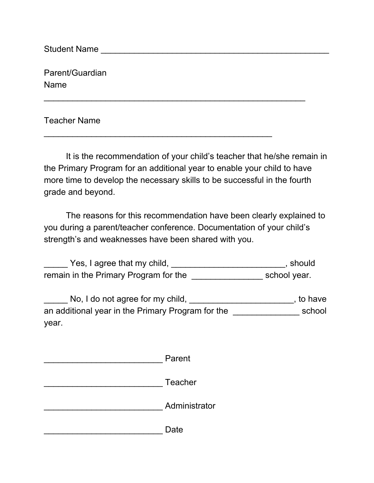Student Name \_\_\_\_\_\_\_\_\_\_\_\_\_\_\_\_\_\_\_\_\_\_\_\_\_\_\_\_\_\_\_\_\_\_\_\_\_\_\_\_\_\_\_\_\_\_\_\_

Parent/Guardian Name

Teacher Name

It is the recommendation of your child's teacher that he/she remain in the Primary Program for an additional year to enable your child to have more time to develop the necessary skills to be successful in the fourth grade and beyond.

\_\_\_\_\_\_\_\_\_\_\_\_\_\_\_\_\_\_\_\_\_\_\_\_\_\_\_\_\_\_\_\_\_\_\_\_\_\_\_\_\_\_\_\_\_\_\_\_\_\_\_\_\_\_\_

\_\_\_\_\_\_\_\_\_\_\_\_\_\_\_\_\_\_\_\_\_\_\_\_\_\_\_\_\_\_\_\_\_\_\_\_\_\_\_\_\_\_\_\_\_\_\_\_

The reasons for this recommendation have been clearly explained to you during a parent/teacher conference. Documentation of your child's strength's and weaknesses have been shared with you.

**\_\_\_\_\_\_** Yes, I agree that my child, \_\_\_\_\_\_\_\_\_\_\_\_\_\_\_\_\_\_\_\_\_\_\_\_\_\_\_\_\_, should remain in the Primary Program for the **Example 20** school year.

\_\_\_\_\_ No, I do not agree for my child, \_\_\_\_\_\_\_\_\_\_\_\_\_\_\_\_\_\_\_\_\_\_\_\_\_\_\_, to have an additional year in the Primary Program for the \_\_\_\_\_\_\_\_\_\_\_\_\_\_ school year.

| Parent        |
|---------------|
| Teacher       |
| Administrator |
| Date          |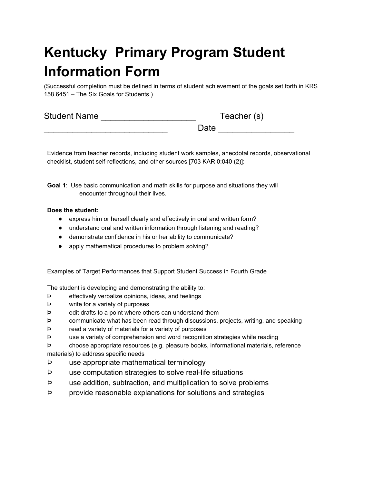# **Kentucky Primary Program Student Information Form**

(Successful completion must be defined in terms of student achievement of the goals set forth in KRS 158.6451 – The Six Goals for Students.)

| <b>Student Name</b> | Teacher (s) |
|---------------------|-------------|
|                     | Date        |

Evidence from teacher records, including student work samples, anecdotal records, observational checklist, student self-reflections, and other sources [703 KAR 0:040 (2)]:

**Goal 1**: Use basic communication and math skills for purpose and situations they will encounter throughout their lives.

#### **Does the student:**

- express him or herself clearly and effectively in oral and written form?
- understand oral and written information through listening and reading?
- demonstrate confidence in his or her ability to communicate?
- apply mathematical procedures to problem solving?

Examples of Target Performances that Support Student Success in Fourth Grade

The student is developing and demonstrating the ability to:

- Þ effectively verbalize opinions, ideas, and feelings
- Þ write for a variety of purposes
- Þ edit drafts to a point where others can understand them
- Þ communicate what has been read through discussions, projects, writing, and speaking
- Þ read a variety of materials for a variety of purposes
- Þ use a variety of comprehension and word recognition strategies while reading
- Þ choose appropriate resources (e.g. pleasure books, informational materials, reference materials) to address specific needs
- Þ use appropriate mathematical terminology
- Þ use computation strategies to solve real-life situations
- Þ use addition, subtraction, and multiplication to solve problems
- Þ provide reasonable explanations for solutions and strategies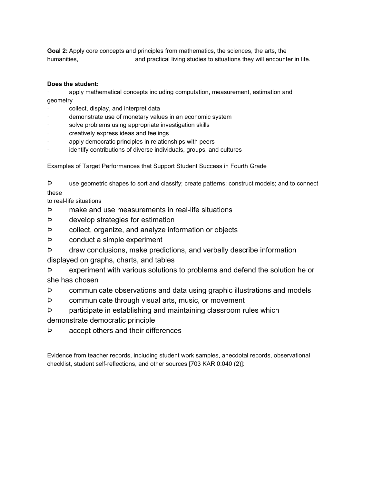**Goal 2:** Apply core concepts and principles from mathematics, the sciences, the arts, the humanities, and practical living studies to situations they will encounter in life.

#### **Does the student:**

apply mathematical concepts including computation, measurement, estimation and geometry

- collect, display, and interpret data
- demonstrate use of monetary values in an economic system
- solve problems using appropriate investigation skills
- creatively express ideas and feelings
- apply democratic principles in relationships with peers
- identify contributions of diverse individuals, groups, and cultures

Examples of Target Performances that Support Student Success in Fourth Grade

Þ use geometric shapes to sort and classify; create patterns; construct models; and to connect these

to real-life situations

- Þ make and use measurements in real-life situations
- Þ develop strategies for estimation
- Þ collect, organize, and analyze information or objects
- Þ conduct a simple experiment
- Þ draw conclusions, make predictions, and verbally describe information

displayed on graphs, charts, and tables

Þ experiment with various solutions to problems and defend the solution he or she has chosen

- Þ communicate observations and data using graphic illustrations and models
- Þ communicate through visual arts, music, or movement
- Þ participate in establishing and maintaining classroom rules which

demonstrate democratic principle

Þ accept others and their differences

Evidence from teacher records, including student work samples, anecdotal records, observational checklist, student self-reflections, and other sources [703 KAR 0:040 (2)]: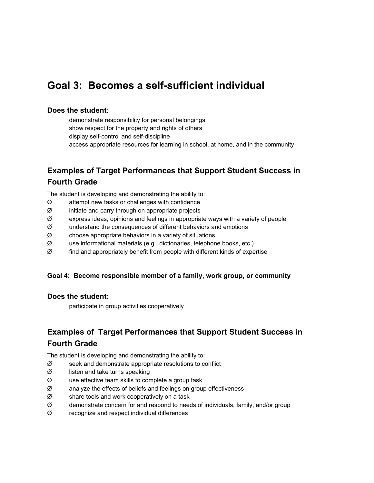## **Goal 3: Becomes a self-sufficient individual**

### **Does the student**:

- demonstrate responsibility for personal belongings
- show respect for the property and rights of others
- display self-control and self-discipline
- access appropriate resources for learning in school, at home, and in the community

## **Examples of Target Performances that Support Student Success in Fourth Grade**

The student is developing and demonstrating the ability to:

- $\varnothing$  attempt new tasks or challenges with confidence
- $\varnothing$  initiate and carry through on appropriate projects
- $\varnothing$  express ideas, opinions and feelings in appropriate ways with a variety of people
- $\varnothing$  understand the consequences of different behaviors and emotions
- $\varnothing$  choose appropriate behaviors in a variety of situations
- $\varnothing$  use informational materials (e.g., dictionaries, telephone books, etc.)
- $\varnothing$  find and appropriately benefit from people with different kinds of expertise

#### **Goal 4: Become responsible member of a family, work group, or community**

#### **Does the student:**

participate in group activities cooperatively

## **Examples of Target Performances that Support Student Success in Fourth Grade**

The student is developing and demonstrating the ability to:

- $\varnothing$  seek and demonstrate appropriate resolutions to conflict
- $\varnothing$  listen and take turns speaking
- $\varnothing$  use effective team skills to complete a group task
- $\varnothing$  analyze the effects of beliefs and feelings on group effectiveness
- $\varnothing$  share tools and work cooperatively on a task
- Ø demonstrate concern for and respond to needs of individuals, family, and/or group
- $\varnothing$  recognize and respect individual differences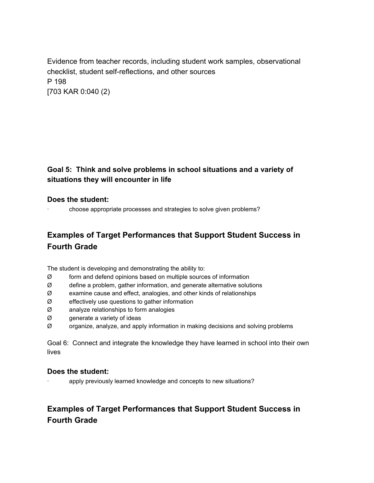Evidence from teacher records, including student work samples, observational checklist, student self-reflections, and other sources P 198 [703 KAR 0:040 (2)

## **Goal 5: Think and solve problems in school situations and a variety of situations they will encounter in life**

### **Does the student:**

· choose appropriate processes and strategies to solve given problems?

## **Examples of Target Performances that Support Student Success in Fourth Grade**

The student is developing and demonstrating the ability to:

- $\varnothing$  form and defend opinions based on multiple sources of information
- $\varnothing$  define a problem, gather information, and generate alternative solutions
- $\varnothing$  examine cause and effect, analogies, and other kinds of relationships
- $\varnothing$  effectively use questions to gather information
- Ø analyze relationships to form analogies
- Ø generate a variety of ideas
- $\varnothing$  organize, analyze, and apply information in making decisions and solving problems

Goal 6: Connect and integrate the knowledge they have learned in school into their own lives

#### **Does the student:**

apply previously learned knowledge and concepts to new situations?

## **Examples of Target Performances that Support Student Success in Fourth Grade**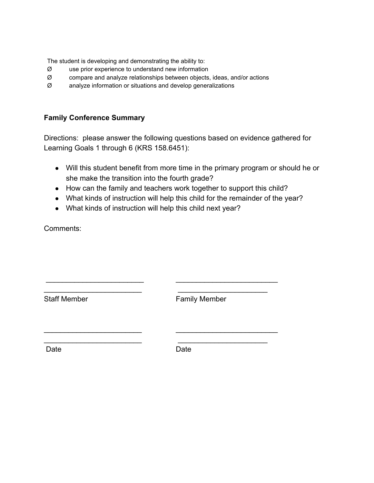The student is developing and demonstrating the ability to:

- Ø use prior experience to understand new information
- $\varnothing$  compare and analyze relationships between objects, ideas, and/or actions
- Ø analyze information or situations and develop generalizations

## **Family Conference Summary**

Directions: please answer the following questions based on evidence gathered for Learning Goals 1 through 6 (KRS 158.6451):

- Will this student benefit from more time in the primary program or should he or she make the transition into the fourth grade?
- How can the family and teachers work together to support this child?
- What kinds of instruction will help this child for the remainder of the year?
- What kinds of instruction will help this child next year?

 \_\_\_\_\_\_\_\_\_\_\_\_\_\_\_\_\_\_\_\_\_\_\_\_ \_\_\_\_\_\_\_\_\_\_\_\_\_\_\_\_\_\_\_\_\_\_\_\_\_ \_\_\_\_\_\_\_\_\_\_\_\_\_\_\_\_\_\_\_\_\_\_\_\_ \_\_\_\_\_\_\_\_\_\_\_\_\_\_\_\_\_\_\_\_\_\_

\_\_\_\_\_\_\_\_\_\_\_\_\_\_\_\_\_\_\_\_\_\_\_\_ \_\_\_\_\_\_\_\_\_\_\_\_\_\_\_\_\_\_\_\_\_\_\_\_\_ \_\_\_\_\_\_\_\_\_\_\_\_\_\_\_\_\_\_\_\_\_\_\_\_ \_\_\_\_\_\_\_\_\_\_\_\_\_\_\_\_\_\_\_\_\_\_

Comments:

Staff Member **Family Member** 

Date **Date** Date **Date**